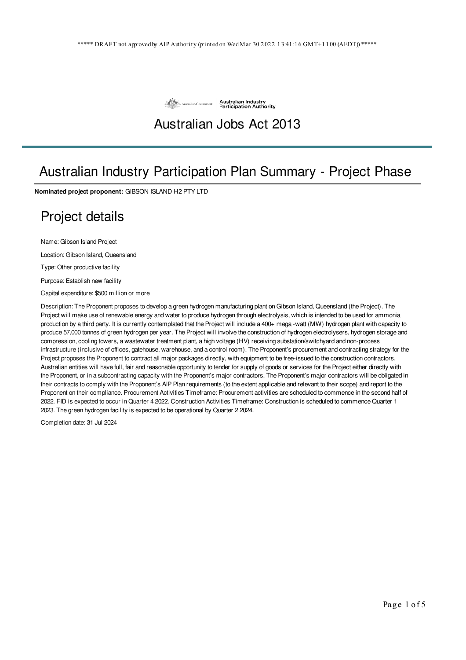

### Australian Jobs Act 2013

# Australian Industry Participation Plan Summary - Project Phase

**Nominated project proponent:** GIBSON ISLAND H2 PTY LTD

### Project details

Name: Gibson Island Project

Location: Gibson Island, Queensland

Type: Other productive facility

Purpose: Establish new facility

Capital expenditure: \$500 million or more

Description: The Proponent proposes to develop a green hydrogen manufacturing plant on Gibson Island, Queensland (the Project). The Project will make use of renewable energy and water to produce hydrogen through electrolysis, which is intended to be used for ammonia production by a third party. It is currently contemplated that the Project will include a 400+ mega -watt (MW) hydrogen plant with capacity to produce 57,000 tonnes of green hydrogen per year. The Project will involve the construction of hydrogen electrolysers, hydrogen storage and compression, cooling towers, a wastewater treatment plant, a high voltage (HV) receiving substation/switchyard and non-process infrastructure (inclusive of offices, gatehouse, warehouse, and a control room). The Proponent's procurement and contracting strategy for the Project proposes the Proponent to contract all major packages directly, with equipment to be free-issued to the construction contractors. Australian entities will have full, fair and reasonable opportunity to tender for supply of goods or services for the Project either directly with the Proponent, or in a subcontracting capacity with the Proponent's major contractors. The Proponent's major contractors will be obligated in their contracts to comply with the Proponent's AIP Plan requirements (to the extent applicable and relevant to their scope) and report to the Proponent on their compliance. Procurement Activities Timeframe: Procurement activities are scheduled to commence in the second half of 2022. FID is expected to occur in Quarter 4 2022. Construction Activities Timeframe: Construction is scheduled to commence Quarter 1 2023. The green hydrogen facility is expected to be operational by Quarter 2 2024.

Completion date: 31 Jul 2024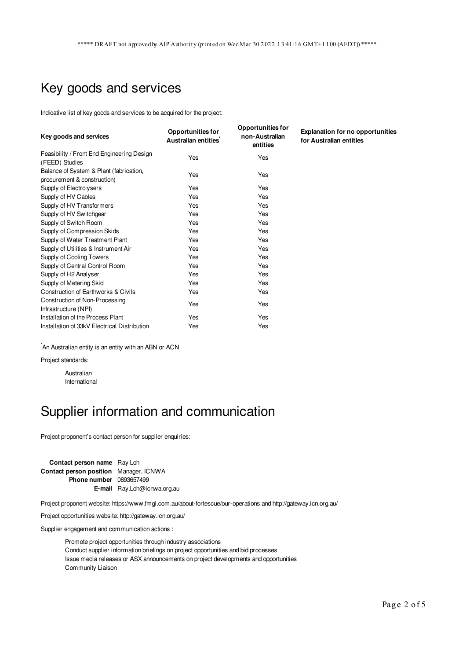## Key goods and services

Indicative list of key goods and services to be acquired for the project:

| Key goods and services                                                 | <b>Opportunities for</b><br>Australian entities <sup>®</sup> | <b>Opportunities for</b><br>non-Australian<br>entities | <b>Explanation for no opportunities</b><br>for Australian entities |
|------------------------------------------------------------------------|--------------------------------------------------------------|--------------------------------------------------------|--------------------------------------------------------------------|
| Feasibility / Front End Engineering Design<br>(FEED) Studies           | Yes                                                          | Yes                                                    |                                                                    |
| Balance of System & Plant (fabrication,<br>procurement & construction) | Yes                                                          | Yes                                                    |                                                                    |
| Supply of Electrolysers                                                | Yes                                                          | Yes                                                    |                                                                    |
| Supply of HV Cables                                                    | Yes                                                          | Yes                                                    |                                                                    |
| Supply of HV Transformers                                              | Yes                                                          | Yes                                                    |                                                                    |
| Supply of HV Switchgear                                                | Yes                                                          | Yes                                                    |                                                                    |
| Supply of Switch Room                                                  | Yes                                                          | Yes                                                    |                                                                    |
| Supply of Compression Skids                                            | Yes                                                          | Yes                                                    |                                                                    |
| Supply of Water Treatment Plant                                        | Yes                                                          | Yes                                                    |                                                                    |
| Supply of Utilities & Instrument Air                                   | Yes                                                          | Yes                                                    |                                                                    |
| Supply of Cooling Towers                                               | Yes                                                          | Yes                                                    |                                                                    |
| Supply of Central Control Room                                         | Yes                                                          | Yes                                                    |                                                                    |
| Supply of H2 Analyser                                                  | Yes                                                          | Yes                                                    |                                                                    |
| Supply of Metering Skid                                                | Yes                                                          | Yes                                                    |                                                                    |
| Construction of Earthworks & Civils                                    | Yes                                                          | Yes                                                    |                                                                    |
| Construction of Non-Processing<br>Infrastructure (NPI)                 | Yes                                                          | Yes                                                    |                                                                    |
| Installation of the Process Plant                                      | Yes                                                          | Yes                                                    |                                                                    |
| Installation of 33kV Electrical Distribution                           | Yes                                                          | Yes                                                    |                                                                    |

 $\check{}$ An Australian entity is an entity with an ABN or ACN

Project standards:

Australian International

## Supplier information and communication

Project proponent's contact person for supplier enquiries:

**Contact person name** Ray Loh **Contact person position** Manager, ICNWA **Phone number** 0893657499 **E-mail** Ray.Loh@icnwa.org.au

Project proponent website: https://www.fmgl.com.au/about-fortescue/our-operations and http://gateway.icn.org.au/

Project opportunities website: http://gateway.icn.org.au/

Supplier engagement and communication actions :

Promote project opportunities through industry associations Conduct supplier information briefings on project opportunities and bid processes Issue media releases or ASX announcements on project developments and opportunities Community Liaison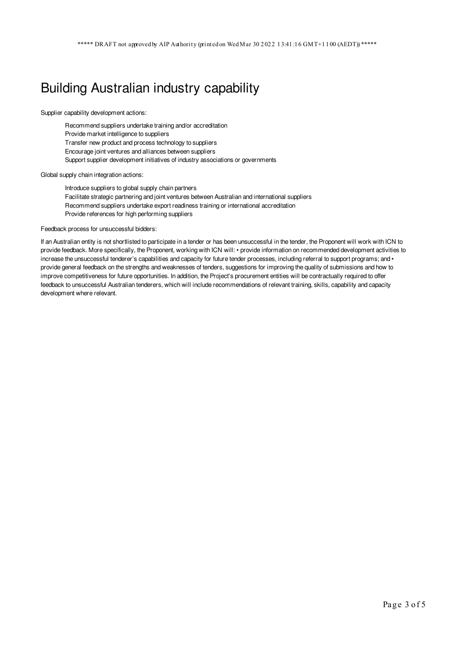### Building Australian industry capability

Supplier capability development actions:

Recommend suppliers undertake training and/or accreditation Provide market intelligence to suppliers Transfer new product and process technology to suppliers Encourage joint ventures and alliances between suppliers Support supplier development initiatives of industry associations or governments

Global supply chain integration actions:

Introduce suppliers to global supply chain partners Facilitate strategic partnering and joint ventures between Australian and international suppliers Recommend suppliers undertake export readiness training or international accreditation Provide references for high performing suppliers

Feedback process for unsuccessful bidders:

If an Australian entity is not shortlisted to participate in a tender or has been unsuccessful in the tender, the Proponent will work with ICN to provide feedback. More specifically, the Proponent, working with ICN will: • provide information on recommended development activities to increase the unsuccessful tenderer's capabilities and capacity for future tender processes, including referral to support programs; and  $\cdot$ provide general feedback on the strengths and weaknesses of tenders, suggestions for improving the quality of submissions and how to improve competitiveness for future opportunities. In addition, the Project's procurement entities will be contractually required to offer feedback to unsuccessful Australian tenderers, which will include recommendations of relevant training, skills, capability and capacity development where relevant.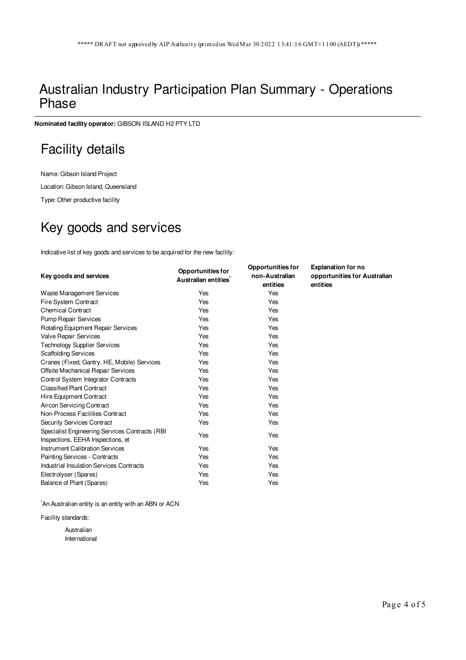#### Australian Industry Participation Plan Summary - Operations Phase

**Nominated facility operator:** GIBSON ISLAND H2 PTY LTD

### Facility details

Name: Gibson Island Project Location: Gibson Island, Queensland Type: Other productive facility

# Key goods and services

Indicative list of key goods and services to be acquired for the new facility:

| Key goods and services                                                              | <b>Opportunities for</b><br>Australian entities <sup>®</sup> | <b>Opportunities for</b><br>non-Australian<br>entities | <b>Explanation for no</b><br>opportunities for Australian<br>entities |
|-------------------------------------------------------------------------------------|--------------------------------------------------------------|--------------------------------------------------------|-----------------------------------------------------------------------|
| Waste Management Services                                                           | Yes                                                          | Yes                                                    |                                                                       |
| Fire System Contract                                                                | Yes                                                          | Yes                                                    |                                                                       |
| <b>Chemical Contract</b>                                                            | Yes                                                          | Yes                                                    |                                                                       |
| Pump Repair Services                                                                | Yes                                                          | Yes                                                    |                                                                       |
| Rotating Equipment Repair Services                                                  | Yes                                                          | Yes                                                    |                                                                       |
| Valve Repair Services                                                               | Yes                                                          | Yes                                                    |                                                                       |
| <b>Technology Supplier Services</b>                                                 | Yes                                                          | Yes                                                    |                                                                       |
| <b>Scaffolding Services</b>                                                         | Yes                                                          | Yes                                                    |                                                                       |
| Cranes (Fixed, Gantry, HE, Mobile) Services                                         | Yes                                                          | Yes                                                    |                                                                       |
| Offsite Mechanical Repair Services                                                  | Yes                                                          | Yes                                                    |                                                                       |
| Control System Integrator Contracts                                                 | Yes                                                          | Yes                                                    |                                                                       |
| <b>Classified Plant Contract</b>                                                    | Yes                                                          | Yes                                                    |                                                                       |
| Hire Equipment Contract                                                             | Yes                                                          | Yes                                                    |                                                                       |
| Aircon Servicing Contract                                                           | Yes                                                          | Yes                                                    |                                                                       |
| Non-Process Facilities Contract                                                     | Yes                                                          | Yes                                                    |                                                                       |
| Security Services Contract                                                          | Yes                                                          | Yes                                                    |                                                                       |
| Specialist Engineering Services Contracts (RBI<br>Inspections, EEHA Inspections, et | Yes                                                          | Yes                                                    |                                                                       |
| Instrument Calibration Services                                                     | Yes                                                          | Yes                                                    |                                                                       |
| Painting Services - Contracts                                                       | Yes                                                          | Yes                                                    |                                                                       |
| Industrial Insulation Services Contracts                                            | Yes                                                          | Yes                                                    |                                                                       |
| Electrolyser (Spares)                                                               | Yes                                                          | Yes                                                    |                                                                       |
| Balance of Plant (Spares)                                                           | Yes                                                          | Yes                                                    |                                                                       |

\*An Australian entity is an entity with an ABN or ACN

Facility standards:

Australian International